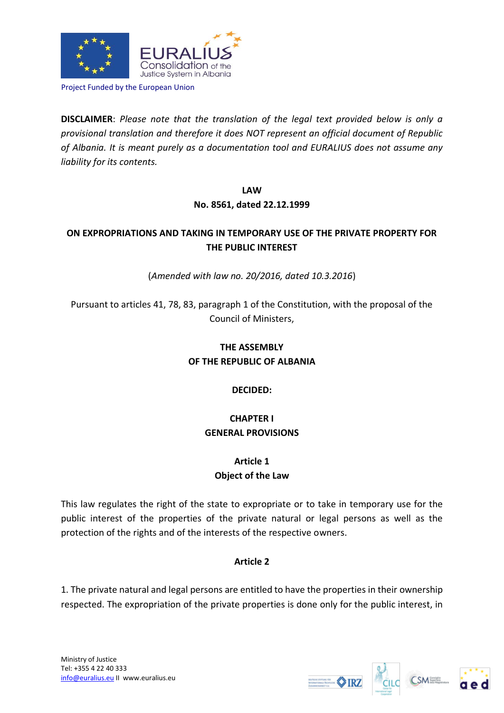

Project Funded by the European Union

**DISCLAIMER**: *Please note that the translation of the legal text provided below is only a provisional translation and therefore it does NOT represent an official document of Republic of Albania. It is meant purely as a documentation tool and EURALIUS does not assume any liability for its contents.*

#### **LAW**

### **No. 8561, dated 22.12.1999**

# **ON EXPROPRIATIONS AND TAKING IN TEMPORARY USE OF THE PRIVATE PROPERTY FOR THE PUBLIC INTEREST**

(*Amended with law no. 20/2016, dated 10.3.2016*)

Pursuant to articles 41, 78, 83, paragraph 1 of the Constitution, with the proposal of the Council of Ministers,

# **THE ASSEMBLY OF THE REPUBLIC OF ALBANIA**

### **DECIDED:**

# **CHAPTER I GENERAL PROVISIONS**

# **Article 1 Object of the Law**

This law regulates the right of the state to expropriate or to take in temporary use for the public interest of the properties of the private natural or legal persons as well as the protection of the rights and of the interests of the respective owners.

### **Article 2**

1. The private natural and legal persons are entitled to have the properties in their ownership respected. The expropriation of the private properties is done only for the public interest, in





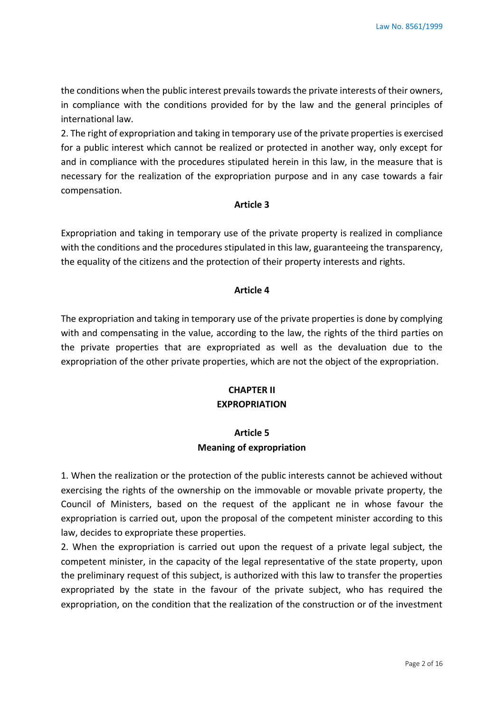the conditions when the public interest prevails towards the private interests of their owners, in compliance with the conditions provided for by the law and the general principles of international law.

2. The right of expropriation and taking in temporary use of the private properties is exercised for a public interest which cannot be realized or protected in another way, only except for and in compliance with the procedures stipulated herein in this law, in the measure that is necessary for the realization of the expropriation purpose and in any case towards a fair compensation.

#### **Article 3**

Expropriation and taking in temporary use of the private property is realized in compliance with the conditions and the procedures stipulated in this law, guaranteeing the transparency, the equality of the citizens and the protection of their property interests and rights.

### **Article 4**

The expropriation and taking in temporary use of the private properties is done by complying with and compensating in the value, according to the law, the rights of the third parties on the private properties that are expropriated as well as the devaluation due to the expropriation of the other private properties, which are not the object of the expropriation.

### **CHAPTER II EXPROPRIATION**

# **Article 5 Meaning of expropriation**

1. When the realization or the protection of the public interests cannot be achieved without exercising the rights of the ownership on the immovable or movable private property, the Council of Ministers, based on the request of the applicant ne in whose favour the expropriation is carried out, upon the proposal of the competent minister according to this law, decides to expropriate these properties.

2. When the expropriation is carried out upon the request of a private legal subject, the competent minister, in the capacity of the legal representative of the state property, upon the preliminary request of this subject, is authorized with this law to transfer the properties expropriated by the state in the favour of the private subject, who has required the expropriation, on the condition that the realization of the construction or of the investment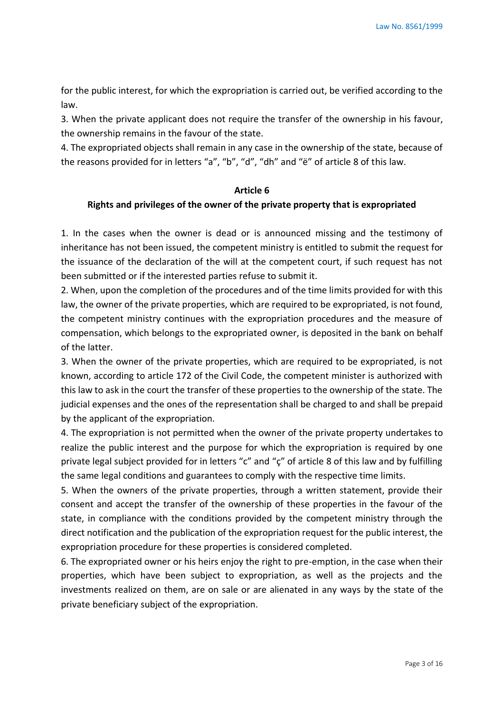for the public interest, for which the expropriation is carried out, be verified according to the law.

3. When the private applicant does not require the transfer of the ownership in his favour, the ownership remains in the favour of the state.

4. The expropriated objects shall remain in any case in the ownership of the state, because of the reasons provided for in letters "a", "b", "d", "dh" and "ë" of article 8 of this law.

### **Article 6**

#### **Rights and privileges of the owner of the private property that is expropriated**

1. In the cases when the owner is dead or is announced missing and the testimony of inheritance has not been issued, the competent ministry is entitled to submit the request for the issuance of the declaration of the will at the competent court, if such request has not been submitted or if the interested parties refuse to submit it.

2. When, upon the completion of the procedures and of the time limits provided for with this law, the owner of the private properties, which are required to be expropriated, is not found, the competent ministry continues with the expropriation procedures and the measure of compensation, which belongs to the expropriated owner, is deposited in the bank on behalf of the latter.

3. When the owner of the private properties, which are required to be expropriated, is not known, according to article 172 of the Civil Code, the competent minister is authorized with this law to ask in the court the transfer of these properties to the ownership of the state. The judicial expenses and the ones of the representation shall be charged to and shall be prepaid by the applicant of the expropriation.

4. The expropriation is not permitted when the owner of the private property undertakes to realize the public interest and the purpose for which the expropriation is required by one private legal subject provided for in letters "c" and "ç" of article 8 of this law and by fulfilling the same legal conditions and guarantees to comply with the respective time limits.

5. When the owners of the private properties, through a written statement, provide their consent and accept the transfer of the ownership of these properties in the favour of the state, in compliance with the conditions provided by the competent ministry through the direct notification and the publication of the expropriation request for the public interest, the expropriation procedure for these properties is considered completed.

6. The expropriated owner or his heirs enjoy the right to pre-emption, in the case when their properties, which have been subject to expropriation, as well as the projects and the investments realized on them, are on sale or are alienated in any ways by the state of the private beneficiary subject of the expropriation.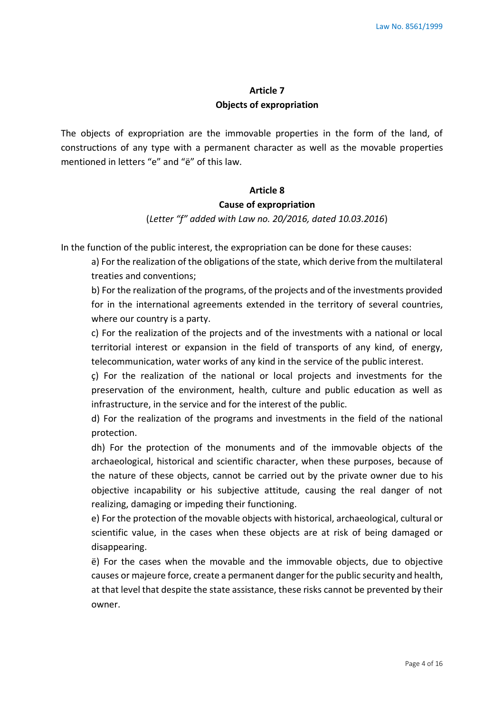# **Article 7 Objects of expropriation**

The objects of expropriation are the immovable properties in the form of the land, of constructions of any type with a permanent character as well as the movable properties mentioned in letters "e" and "ë" of this law.

#### **Article 8**

#### **Cause of expropriation**

(*Letter "f" added with Law no. 20/2016, dated 10.03.2016*)

In the function of the public interest, the expropriation can be done for these causes:

a) For the realization of the obligations of the state, which derive from the multilateral treaties and conventions;

b) For the realization of the programs, of the projects and of the investments provided for in the international agreements extended in the territory of several countries, where our country is a party.

c) For the realization of the projects and of the investments with a national or local territorial interest or expansion in the field of transports of any kind, of energy, telecommunication, water works of any kind in the service of the public interest.

ç) For the realization of the national or local projects and investments for the preservation of the environment, health, culture and public education as well as infrastructure, in the service and for the interest of the public.

d) For the realization of the programs and investments in the field of the national protection.

dh) For the protection of the monuments and of the immovable objects of the archaeological, historical and scientific character, when these purposes, because of the nature of these objects, cannot be carried out by the private owner due to his objective incapability or his subjective attitude, causing the real danger of not realizing, damaging or impeding their functioning.

e) For the protection of the movable objects with historical, archaeological, cultural or scientific value, in the cases when these objects are at risk of being damaged or disappearing.

ë) For the cases when the movable and the immovable objects, due to objective causes or majeure force, create a permanent danger for the public security and health, at that level that despite the state assistance, these risks cannot be prevented by their owner.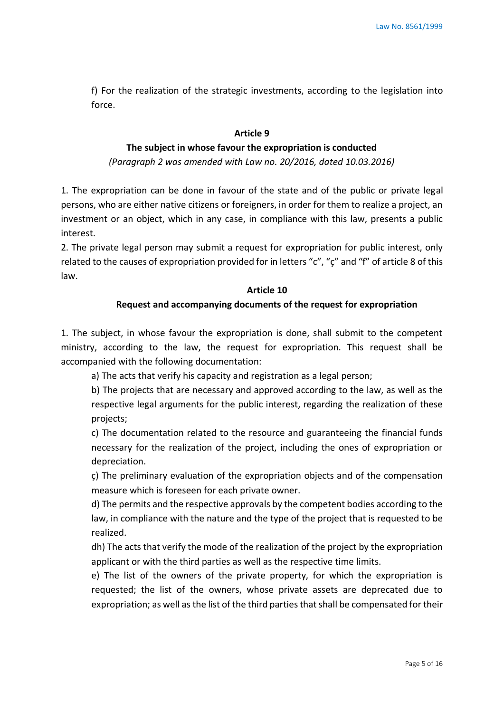f) For the realization of the strategic investments, according to the legislation into force.

#### **Article 9**

### **The subject in whose favour the expropriation is conducted**

*(Paragraph 2 was amended with Law no. 20/2016, dated 10.03.2016)*

1. The expropriation can be done in favour of the state and of the public or private legal persons, who are either native citizens or foreigners, in order for them to realize a project, an investment or an object, which in any case, in compliance with this law, presents a public interest.

2. The private legal person may submit a request for expropriation for public interest, only related to the causes of expropriation provided for in letters "c", "ç" and "f" of article 8 of this law.

#### **Article 10**

### **Request and accompanying documents of the request for expropriation**

1. The subject, in whose favour the expropriation is done, shall submit to the competent ministry, according to the law, the request for expropriation. This request shall be accompanied with the following documentation:

a) The acts that verify his capacity and registration as a legal person;

b) The projects that are necessary and approved according to the law, as well as the respective legal arguments for the public interest, regarding the realization of these projects;

c) The documentation related to the resource and guaranteeing the financial funds necessary for the realization of the project, including the ones of expropriation or depreciation.

ç) The preliminary evaluation of the expropriation objects and of the compensation measure which is foreseen for each private owner.

d) The permits and the respective approvals by the competent bodies according to the law, in compliance with the nature and the type of the project that is requested to be realized.

dh) The acts that verify the mode of the realization of the project by the expropriation applicant or with the third parties as well as the respective time limits.

e) The list of the owners of the private property, for which the expropriation is requested; the list of the owners, whose private assets are deprecated due to expropriation; as well as the list of the third parties that shall be compensated for their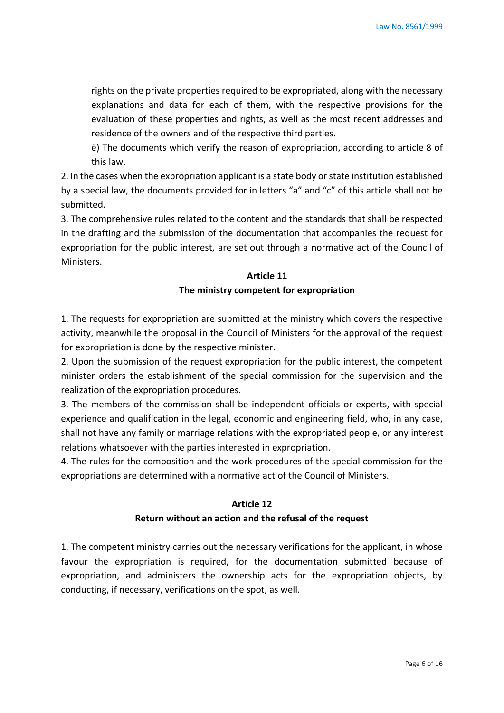rights on the private properties required to be expropriated, along with the necessary explanations and data for each of them, with the respective provisions for the evaluation of these properties and rights, as well as the most recent addresses and residence of the owners and of the respective third parties.

ë) The documents which verify the reason of expropriation, according to article 8 of this law.

2. In the cases when the expropriation applicant is a state body or state institution established by a special law, the documents provided for in letters "a" and "c" of this article shall not be submitted.

3. The comprehensive rules related to the content and the standards that shall be respected in the drafting and the submission of the documentation that accompanies the request for expropriation for the public interest, are set out through a normative act of the Council of Ministers.

# **Article 11**

### **The ministry competent for expropriation**

1. The requests for expropriation are submitted at the ministry which covers the respective activity, meanwhile the proposal in the Council of Ministers for the approval of the request for expropriation is done by the respective minister.

2. Upon the submission of the request expropriation for the public interest, the competent minister orders the establishment of the special commission for the supervision and the realization of the expropriation procedures.

3. The members of the commission shall be independent officials or experts, with special experience and qualification in the legal, economic and engineering field, who, in any case, shall not have any family or marriage relations with the expropriated people, or any interest relations whatsoever with the parties interested in expropriation.

4. The rules for the composition and the work procedures of the special commission for the expropriations are determined with a normative act of the Council of Ministers.

### **Article 12**

### **Return without an action and the refusal of the request**

1. The competent ministry carries out the necessary verifications for the applicant, in whose favour the expropriation is required, for the documentation submitted because of expropriation, and administers the ownership acts for the expropriation objects, by conducting, if necessary, verifications on the spot, as well.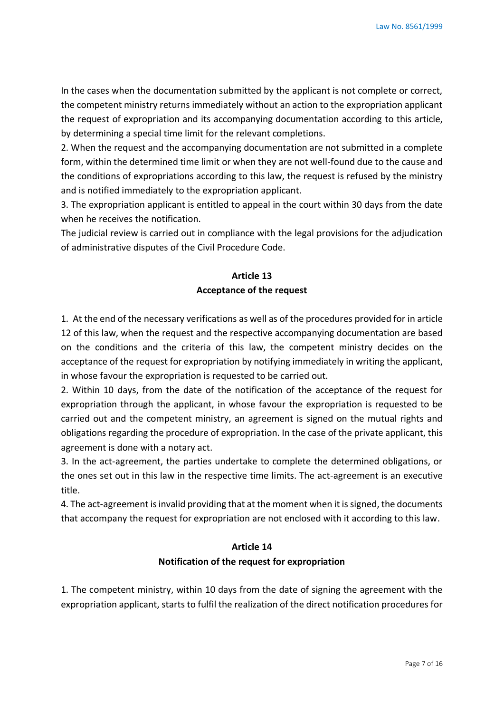In the cases when the documentation submitted by the applicant is not complete or correct, the competent ministry returns immediately without an action to the expropriation applicant the request of expropriation and its accompanying documentation according to this article, by determining a special time limit for the relevant completions.

2. When the request and the accompanying documentation are not submitted in a complete form, within the determined time limit or when they are not well-found due to the cause and the conditions of expropriations according to this law, the request is refused by the ministry and is notified immediately to the expropriation applicant.

3. The expropriation applicant is entitled to appeal in the court within 30 days from the date when he receives the notification.

The judicial review is carried out in compliance with the legal provisions for the adjudication of administrative disputes of the Civil Procedure Code.

# **Article 13 Acceptance of the request**

1. At the end of the necessary verifications as well as of the procedures provided for in article 12 of this law, when the request and the respective accompanying documentation are based on the conditions and the criteria of this law, the competent ministry decides on the acceptance of the request for expropriation by notifying immediately in writing the applicant, in whose favour the expropriation is requested to be carried out.

2. Within 10 days, from the date of the notification of the acceptance of the request for expropriation through the applicant, in whose favour the expropriation is requested to be carried out and the competent ministry, an agreement is signed on the mutual rights and obligations regarding the procedure of expropriation. In the case of the private applicant, this agreement is done with a notary act.

3. In the act-agreement, the parties undertake to complete the determined obligations, or the ones set out in this law in the respective time limits. The act-agreement is an executive title.

4. The act-agreement is invalid providing that at the moment when it is signed, the documents that accompany the request for expropriation are not enclosed with it according to this law.

# **Article 14 Notification of the request for expropriation**

1. The competent ministry, within 10 days from the date of signing the agreement with the expropriation applicant, starts to fulfil the realization of the direct notification procedures for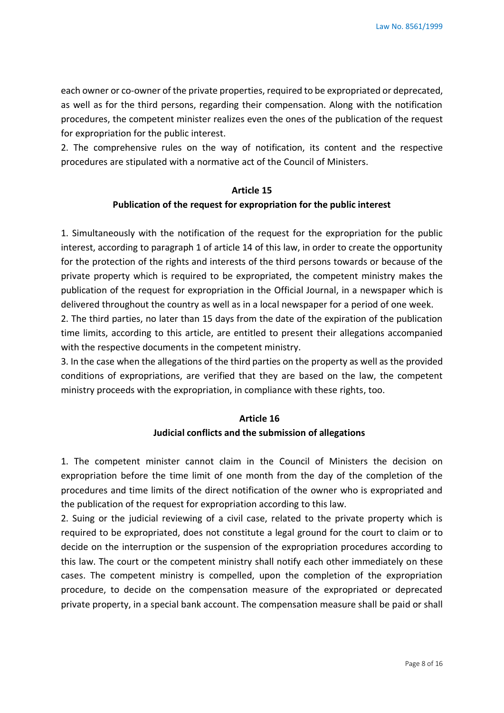each owner or co-owner of the private properties, required to be expropriated or deprecated, as well as for the third persons, regarding their compensation. Along with the notification procedures, the competent minister realizes even the ones of the publication of the request for expropriation for the public interest.

2. The comprehensive rules on the way of notification, its content and the respective procedures are stipulated with a normative act of the Council of Ministers.

# **Article 15 Publication of the request for expropriation for the public interest**

1. Simultaneously with the notification of the request for the expropriation for the public interest, according to paragraph 1 of article 14 of this law, in order to create the opportunity for the protection of the rights and interests of the third persons towards or because of the private property which is required to be expropriated, the competent ministry makes the publication of the request for expropriation in the Official Journal, in a newspaper which is delivered throughout the country as well as in a local newspaper for a period of one week.

2. The third parties, no later than 15 days from the date of the expiration of the publication time limits, according to this article, are entitled to present their allegations accompanied with the respective documents in the competent ministry.

3. In the case when the allegations of the third parties on the property as well as the provided conditions of expropriations, are verified that they are based on the law, the competent ministry proceeds with the expropriation, in compliance with these rights, too.

# **Article 16 Judicial conflicts and the submission of allegations**

1. The competent minister cannot claim in the Council of Ministers the decision on expropriation before the time limit of one month from the day of the completion of the procedures and time limits of the direct notification of the owner who is expropriated and the publication of the request for expropriation according to this law.

2. Suing or the judicial reviewing of a civil case, related to the private property which is required to be expropriated, does not constitute a legal ground for the court to claim or to decide on the interruption or the suspension of the expropriation procedures according to this law. The court or the competent ministry shall notify each other immediately on these cases. The competent ministry is compelled, upon the completion of the expropriation procedure, to decide on the compensation measure of the expropriated or deprecated private property, in a special bank account. The compensation measure shall be paid or shall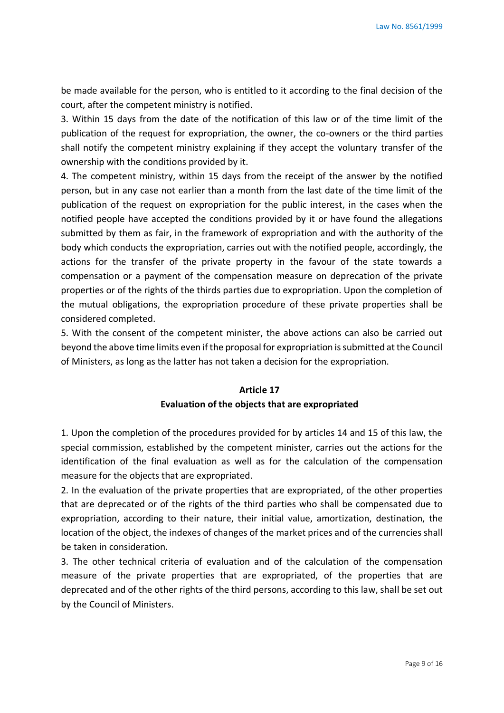be made available for the person, who is entitled to it according to the final decision of the court, after the competent ministry is notified.

3. Within 15 days from the date of the notification of this law or of the time limit of the publication of the request for expropriation, the owner, the co-owners or the third parties shall notify the competent ministry explaining if they accept the voluntary transfer of the ownership with the conditions provided by it.

4. The competent ministry, within 15 days from the receipt of the answer by the notified person, but in any case not earlier than a month from the last date of the time limit of the publication of the request on expropriation for the public interest, in the cases when the notified people have accepted the conditions provided by it or have found the allegations submitted by them as fair, in the framework of expropriation and with the authority of the body which conducts the expropriation, carries out with the notified people, accordingly, the actions for the transfer of the private property in the favour of the state towards a compensation or a payment of the compensation measure on deprecation of the private properties or of the rights of the thirds parties due to expropriation. Upon the completion of the mutual obligations, the expropriation procedure of these private properties shall be considered completed.

5. With the consent of the competent minister, the above actions can also be carried out beyond the above time limits even if the proposal for expropriation is submitted at the Council of Ministers, as long as the latter has not taken a decision for the expropriation.

# **Article 17 Evaluation of the objects that are expropriated**

1. Upon the completion of the procedures provided for by articles 14 and 15 of this law, the special commission, established by the competent minister, carries out the actions for the identification of the final evaluation as well as for the calculation of the compensation measure for the objects that are expropriated.

2. In the evaluation of the private properties that are expropriated, of the other properties that are deprecated or of the rights of the third parties who shall be compensated due to expropriation, according to their nature, their initial value, amortization, destination, the location of the object, the indexes of changes of the market prices and of the currencies shall be taken in consideration.

3. The other technical criteria of evaluation and of the calculation of the compensation measure of the private properties that are expropriated, of the properties that are deprecated and of the other rights of the third persons, according to this law, shall be set out by the Council of Ministers.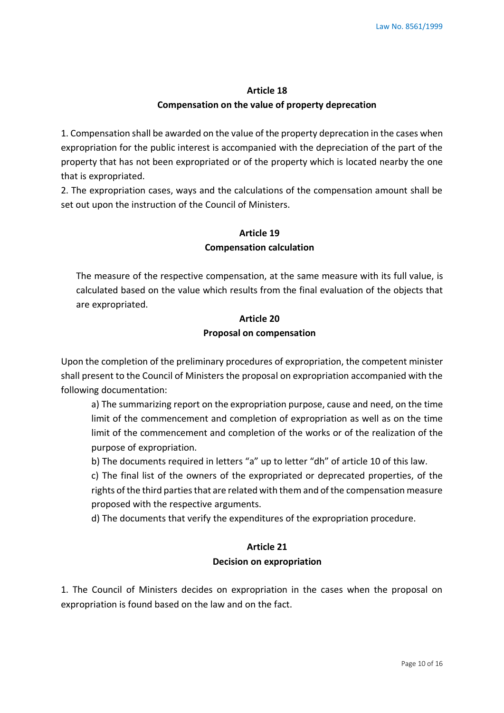# **Article 18 Compensation on the value of property deprecation**

1. Compensation shall be awarded on the value of the property deprecation in the cases when expropriation for the public interest is accompanied with the depreciation of the part of the property that has not been expropriated or of the property which is located nearby the one that is expropriated.

2. The expropriation cases, ways and the calculations of the compensation amount shall be set out upon the instruction of the Council of Ministers.

# **Article 19 Compensation calculation**

The measure of the respective compensation, at the same measure with its full value, is calculated based on the value which results from the final evaluation of the objects that are expropriated.

# **Article 20 Proposal on compensation**

Upon the completion of the preliminary procedures of expropriation, the competent minister shall present to the Council of Ministers the proposal on expropriation accompanied with the following documentation:

a) The summarizing report on the expropriation purpose, cause and need, on the time limit of the commencement and completion of expropriation as well as on the time limit of the commencement and completion of the works or of the realization of the purpose of expropriation.

b) The documents required in letters "a" up to letter "dh" of article 10 of this law.

c) The final list of the owners of the expropriated or deprecated properties, of the rights of the third parties that are related with them and of the compensation measure proposed with the respective arguments.

d) The documents that verify the expenditures of the expropriation procedure.

# **Article 21 Decision on expropriation**

1. The Council of Ministers decides on expropriation in the cases when the proposal on expropriation is found based on the law and on the fact.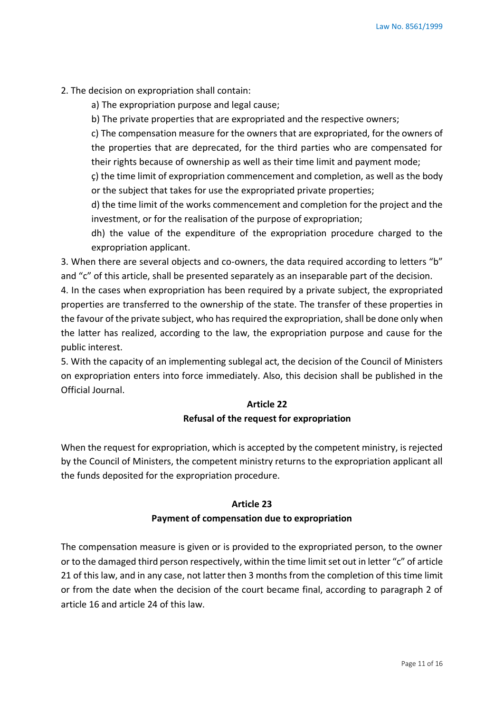- 2. The decision on expropriation shall contain:
	- a) The expropriation purpose and legal cause;
	- b) The private properties that are expropriated and the respective owners;

c) The compensation measure for the owners that are expropriated, for the owners of the properties that are deprecated, for the third parties who are compensated for their rights because of ownership as well as their time limit and payment mode;

ç) the time limit of expropriation commencement and completion, as well as the body or the subject that takes for use the expropriated private properties;

d) the time limit of the works commencement and completion for the project and the investment, or for the realisation of the purpose of expropriation;

dh) the value of the expenditure of the expropriation procedure charged to the expropriation applicant.

3. When there are several objects and co-owners, the data required according to letters "b" and "c" of this article, shall be presented separately as an inseparable part of the decision.

4. In the cases when expropriation has been required by a private subject, the expropriated properties are transferred to the ownership of the state. The transfer of these properties in the favour of the private subject, who has required the expropriation, shall be done only when the latter has realized, according to the law, the expropriation purpose and cause for the public interest.

5. With the capacity of an implementing sublegal act, the decision of the Council of Ministers on expropriation enters into force immediately. Also, this decision shall be published in the Official Journal.

# **Article 22 Refusal of the request for expropriation**

When the request for expropriation, which is accepted by the competent ministry, is rejected by the Council of Ministers, the competent ministry returns to the expropriation applicant all the funds deposited for the expropriation procedure.

### **Article 23**

### **Payment of compensation due to expropriation**

The compensation measure is given or is provided to the expropriated person, to the owner or to the damaged third person respectively, within the time limit set out in letter "c" of article 21 of this law, and in any case, not latter then 3 months from the completion of this time limit or from the date when the decision of the court became final, according to paragraph 2 of article 16 and article 24 of this law.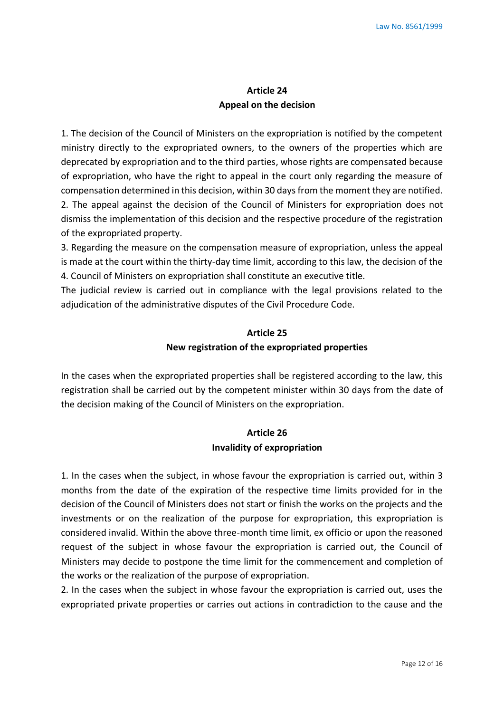# **Article 24 Appeal on the decision**

1. The decision of the Council of Ministers on the expropriation is notified by the competent ministry directly to the expropriated owners, to the owners of the properties which are deprecated by expropriation and to the third parties, whose rights are compensated because of expropriation, who have the right to appeal in the court only regarding the measure of compensation determined in this decision, within 30 days from the moment they are notified. 2. The appeal against the decision of the Council of Ministers for expropriation does not dismiss the implementation of this decision and the respective procedure of the registration of the expropriated property.

3. Regarding the measure on the compensation measure of expropriation, unless the appeal is made at the court within the thirty-day time limit, according to this law, the decision of the 4. Council of Ministers on expropriation shall constitute an executive title.

The judicial review is carried out in compliance with the legal provisions related to the adjudication of the administrative disputes of the Civil Procedure Code.

# **Article 25 New registration of the expropriated properties**

In the cases when the expropriated properties shall be registered according to the law, this registration shall be carried out by the competent minister within 30 days from the date of the decision making of the Council of Ministers on the expropriation.

### **Article 26 Invalidity of expropriation**

1. In the cases when the subject, in whose favour the expropriation is carried out, within 3 months from the date of the expiration of the respective time limits provided for in the decision of the Council of Ministers does not start or finish the works on the projects and the investments or on the realization of the purpose for expropriation, this expropriation is considered invalid. Within the above three-month time limit, ex officio or upon the reasoned request of the subject in whose favour the expropriation is carried out, the Council of Ministers may decide to postpone the time limit for the commencement and completion of the works or the realization of the purpose of expropriation.

2. In the cases when the subject in whose favour the expropriation is carried out, uses the expropriated private properties or carries out actions in contradiction to the cause and the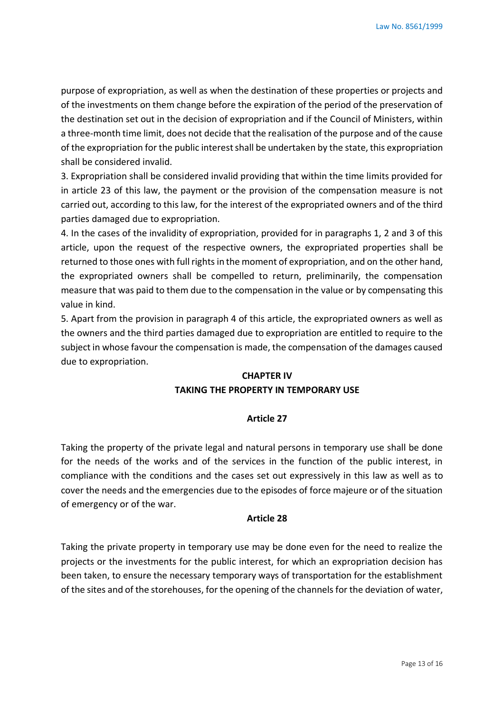purpose of expropriation, as well as when the destination of these properties or projects and of the investments on them change before the expiration of the period of the preservation of the destination set out in the decision of expropriation and if the Council of Ministers, within a three-month time limit, does not decide that the realisation of the purpose and of the cause of the expropriation for the public interest shall be undertaken by the state, this expropriation shall be considered invalid.

3. Expropriation shall be considered invalid providing that within the time limits provided for in article 23 of this law, the payment or the provision of the compensation measure is not carried out, according to this law, for the interest of the expropriated owners and of the third parties damaged due to expropriation.

4. In the cases of the invalidity of expropriation, provided for in paragraphs 1, 2 and 3 of this article, upon the request of the respective owners, the expropriated properties shall be returned to those ones with full rights in the moment of expropriation, and on the other hand, the expropriated owners shall be compelled to return, preliminarily, the compensation measure that was paid to them due to the compensation in the value or by compensating this value in kind.

5. Apart from the provision in paragraph 4 of this article, the expropriated owners as well as the owners and the third parties damaged due to expropriation are entitled to require to the subject in whose favour the compensation is made, the compensation of the damages caused due to expropriation.

# **CHAPTER IV TAKING THE PROPERTY IN TEMPORARY USE**

### **Article 27**

Taking the property of the private legal and natural persons in temporary use shall be done for the needs of the works and of the services in the function of the public interest, in compliance with the conditions and the cases set out expressively in this law as well as to cover the needs and the emergencies due to the episodes of force majeure or of the situation of emergency or of the war.

### **Article 28**

Taking the private property in temporary use may be done even for the need to realize the projects or the investments for the public interest, for which an expropriation decision has been taken, to ensure the necessary temporary ways of transportation for the establishment of the sites and of the storehouses, for the opening of the channels for the deviation of water,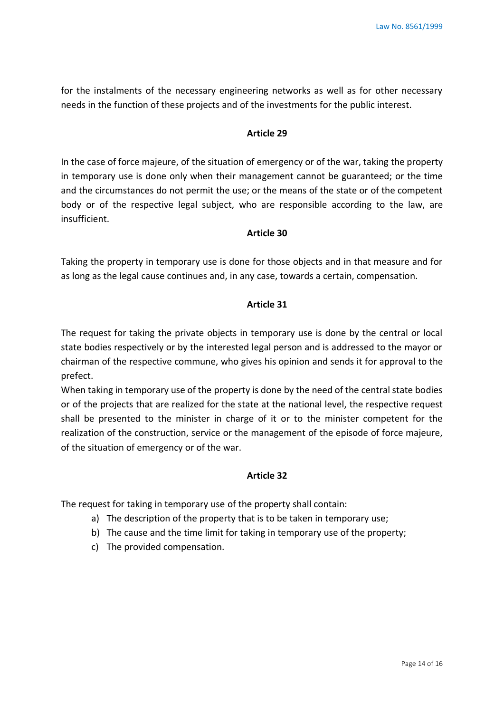for the instalments of the necessary engineering networks as well as for other necessary needs in the function of these projects and of the investments for the public interest.

### **Article 29**

In the case of force majeure, of the situation of emergency or of the war, taking the property in temporary use is done only when their management cannot be guaranteed; or the time and the circumstances do not permit the use; or the means of the state or of the competent body or of the respective legal subject, who are responsible according to the law, are insufficient.

### **Article 30**

Taking the property in temporary use is done for those objects and in that measure and for as long as the legal cause continues and, in any case, towards a certain, compensation.

### **Article 31**

The request for taking the private objects in temporary use is done by the central or local state bodies respectively or by the interested legal person and is addressed to the mayor or chairman of the respective commune, who gives his opinion and sends it for approval to the prefect.

When taking in temporary use of the property is done by the need of the central state bodies or of the projects that are realized for the state at the national level, the respective request shall be presented to the minister in charge of it or to the minister competent for the realization of the construction, service or the management of the episode of force majeure, of the situation of emergency or of the war.

### **Article 32**

The request for taking in temporary use of the property shall contain:

- a) The description of the property that is to be taken in temporary use;
- b) The cause and the time limit for taking in temporary use of the property;
- c) The provided compensation.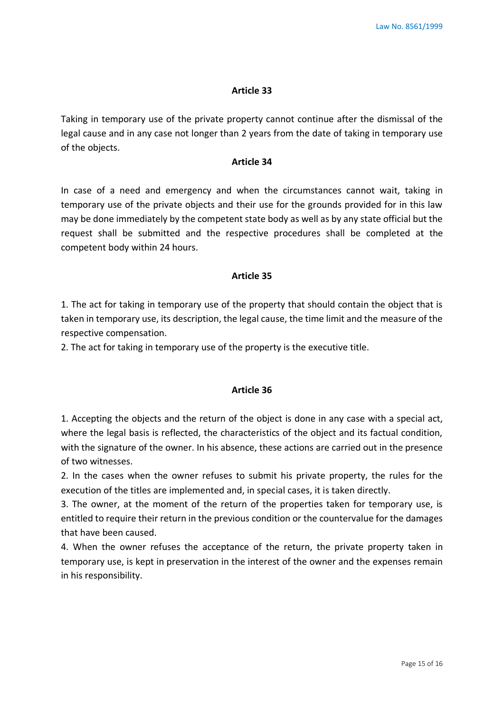#### **Article 33**

Taking in temporary use of the private property cannot continue after the dismissal of the legal cause and in any case not longer than 2 years from the date of taking in temporary use of the objects.

### **Article 34**

In case of a need and emergency and when the circumstances cannot wait, taking in temporary use of the private objects and their use for the grounds provided for in this law may be done immediately by the competent state body as well as by any state official but the request shall be submitted and the respective procedures shall be completed at the competent body within 24 hours.

### **Article 35**

1. The act for taking in temporary use of the property that should contain the object that is taken in temporary use, its description, the legal cause, the time limit and the measure of the respective compensation.

2. The act for taking in temporary use of the property is the executive title.

### **Article 36**

1. Accepting the objects and the return of the object is done in any case with a special act, where the legal basis is reflected, the characteristics of the object and its factual condition, with the signature of the owner. In his absence, these actions are carried out in the presence of two witnesses.

2. In the cases when the owner refuses to submit his private property, the rules for the execution of the titles are implemented and, in special cases, it is taken directly.

3. The owner, at the moment of the return of the properties taken for temporary use, is entitled to require their return in the previous condition or the countervalue for the damages that have been caused.

4. When the owner refuses the acceptance of the return, the private property taken in temporary use, is kept in preservation in the interest of the owner and the expenses remain in his responsibility.